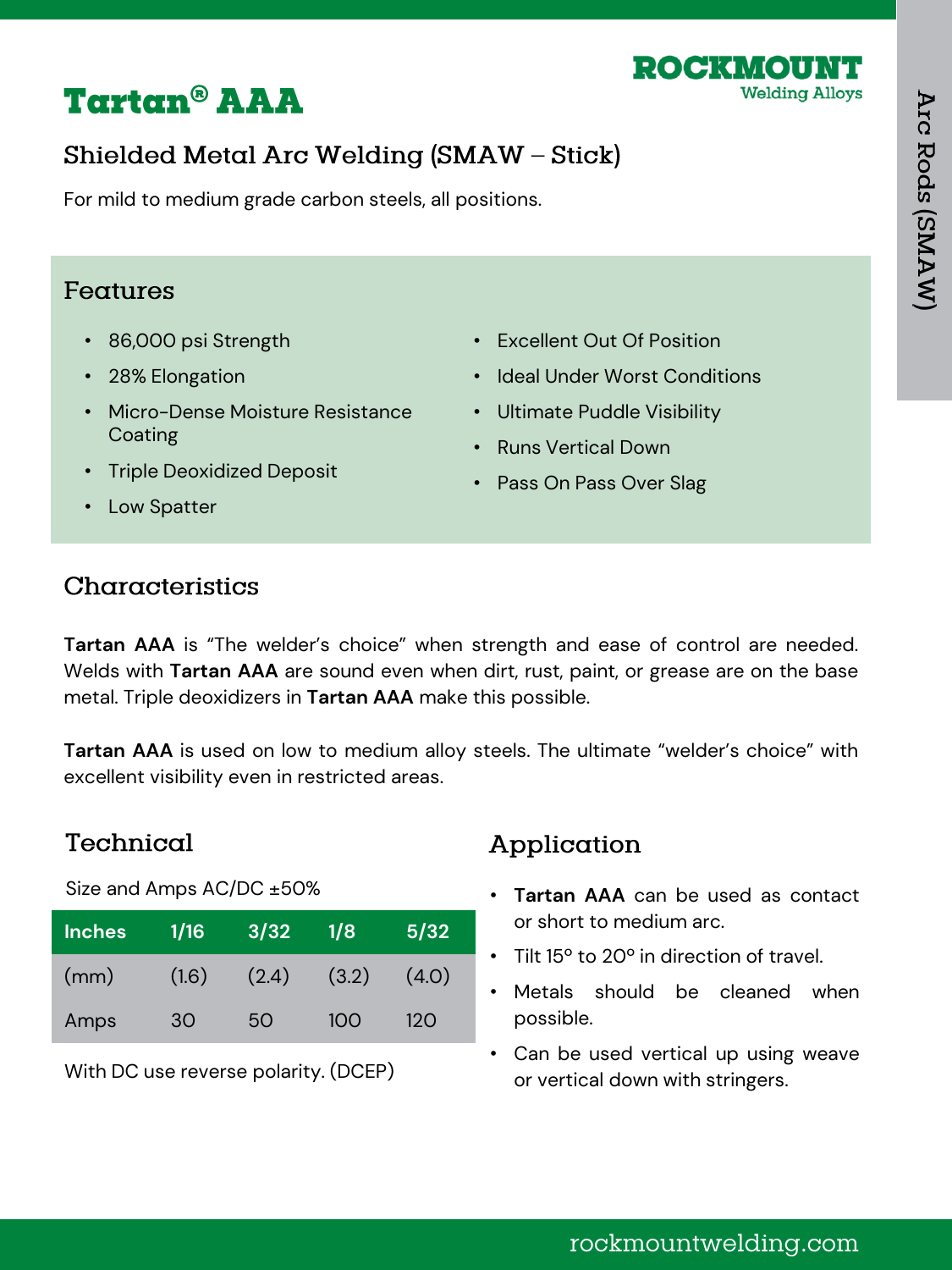

# **Tartan<sup>®</sup> AAA**

# Shielded Metal Arc Welding (SMAW - Stick)

For mild to medium grade carbon steels, all positions.

#### Features

- 86,000 psi Strength
- 28% Elongation
- Micro-Dense Moisture Resistance Coating
- Excellent Out Of Position
- Ideal Under Worst Conditions
- Ultimate Puddle Visibility
- Runs Vertical Down
- Triple Deoxidized Deposit
- Pass On Pass Over Slag

• Low Spatter

### Characteristics

**Tartan AAA** is "The welder's choice" when strength and ease of control are needed. Welds with **Tartan AAA** are sound even when dirt, rust, paint, or grease are on the base metal. Triple deoxidizers in **Tartan AAA** make this possible.

**Tartan AAA** is used on low to medium alloy steels. The ultimate "welder's choice" with excellent visibility even in restricted areas.

### Technical

Size and Amps AC/DC ±50%

| <b>Inches</b> | 1/16  | 3/32  | 1/8   | 5/32  |
|---------------|-------|-------|-------|-------|
| (mm)          | (1.6) | (2.4) | (3.2) | (4.0) |
| Amps          | 30    | 50    | 100   | 120   |

With DC use reverse polarity. (DCEP)

# Application

- **Tartan AAA** can be used as contact or short to medium arc.
- Tilt 15º to 20º in direction of travel.
- Metals should be cleaned when possible.
- Can be used vertical up using weave or vertical down with stringers.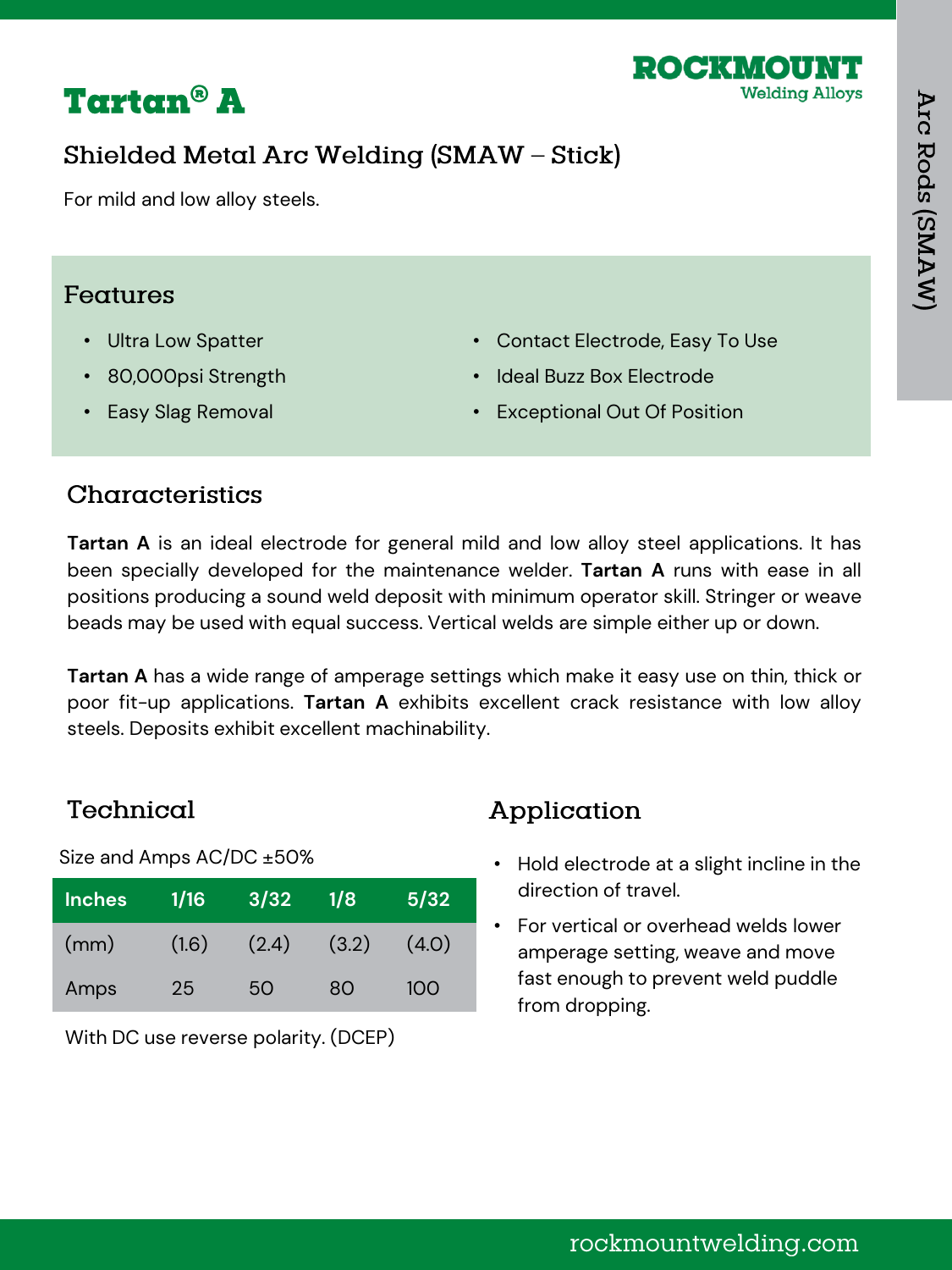



## Shielded Metal Arc Welding (SMAW - Stick)

For mild and low alloy steels.

#### Features

- Ultra Low Spatter
- 80,000psi Strength

• Easy Slag Removal

- Contact Electrode, Easy To Use
- Ideal Buzz Box Electrode
- Exceptional Out Of Position

### Characteristics

**Tartan A** is an ideal electrode for general mild and low alloy steel applications. It has been specially developed for the maintenance welder. **Tartan A** runs with ease in all positions producing a sound weld deposit with minimum operator skill. Stringer or weave beads may be used with equal success. Vertical welds are simple either up or down.

**Tartan A** has a wide range of amperage settings which make it easy use on thin, thick or poor fit-up applications. **Tartan A** exhibits excellent crack resistance with low alloy steels. Deposits exhibit excellent machinability.

### Technical

Size and Amps AC/DC ±50%

| <b>Inches</b> | 1/16            | 3/32  | 1/8   | 5/32  |
|---------------|-----------------|-------|-------|-------|
| (mm)          | (1.6)           | (2.4) | (3.2) | (4.0) |
| Amps          | 25 <sub>1</sub> | 50    | 80    | 100   |

With DC use reverse polarity. (DCEP)

# Application

- Hold electrode at a slight incline in the direction of travel.
- For vertical or overhead welds lower amperage setting, weave and move fast enough to prevent weld puddle from dropping.